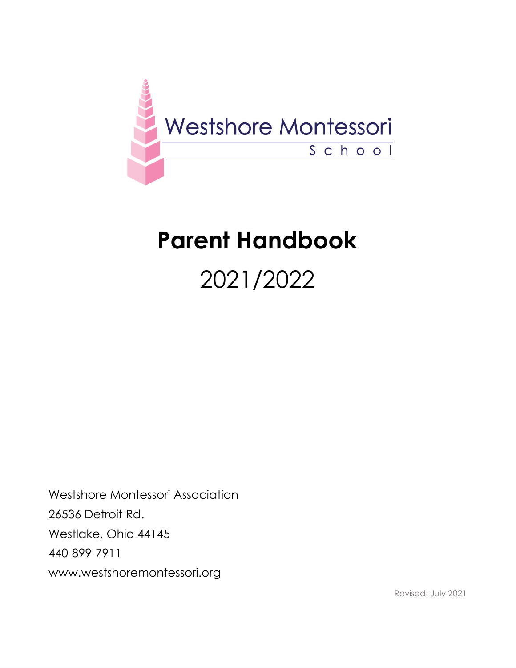

# **Parent Handbook**

# 2021/2022

Westshore Montessori Association 26536 Detroit Rd. Westlake, Ohio 44145 440-899-7911 www.westshoremontessori.org

Revised: July 2021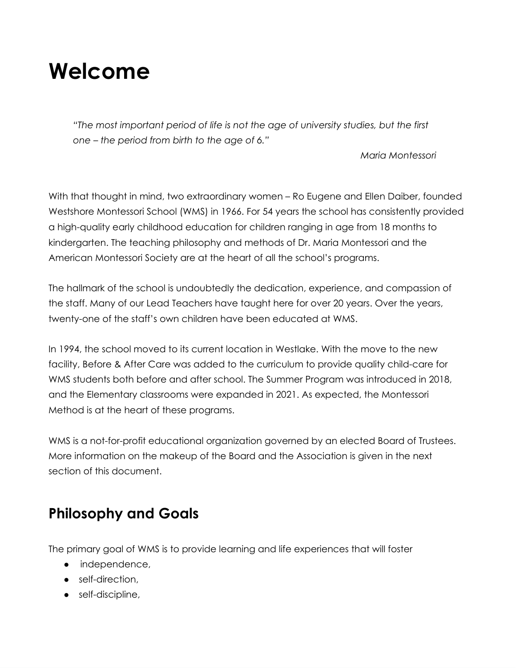# **Welcome**

*"The most important period of life is not the age of university studies, but the first one – the period from birth to the age of 6."*

*Maria Montessori*

With that thought in mind, two extraordinary women – Ro Eugene and Ellen Daiber, founded Westshore Montessori School (WMS) in 1966. For 54 years the school has consistently provided a high-quality early childhood education for children ranging in age from 18 months to kindergarten. The teaching philosophy and methods of Dr. Maria Montessori and the American Montessori Society are at the heart of all the school's programs.

The hallmark of the school is undoubtedly the dedication, experience, and compassion of the staff. Many of our Lead Teachers have taught here for over 20 years. Over the years, twenty-one of the staff's own children have been educated at WMS.

In 1994, the school moved to its current location in Westlake. With the move to the new facility, Before & After Care was added to the curriculum to provide quality child-care for WMS students both before and after school. The Summer Program was introduced in 2018, and the Elementary classrooms were expanded in 2021. As expected, the Montessori Method is at the heart of these programs.

WMS is a not-for-profit educational organization governed by an elected Board of Trustees. More information on the makeup of the Board and the Association is given in the next section of this document.

### **Philosophy and Goals**

The primary goal of WMS is to provide learning and life experiences that will foster

- independence,
- self-direction,
- self-discipline,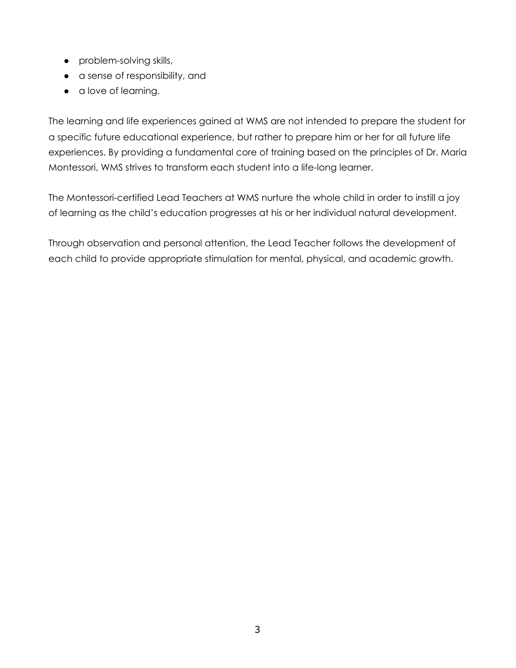- problem-solving skills,
- a sense of responsibility, and
- a love of learning.

The learning and life experiences gained at WMS are not intended to prepare the student for a specific future educational experience, but rather to prepare him or her for all future life experiences. By providing a fundamental core of training based on the principles of Dr. Maria Montessori, WMS strives to transform each student into a life-long learner.

The Montessori-certified Lead Teachers at WMS nurture the whole child in order to instill a joy of learning as the child's education progresses at his or her individual natural development.

Through observation and personal attention, the Lead Teacher follows the development of each child to provide appropriate stimulation for mental, physical, and academic growth.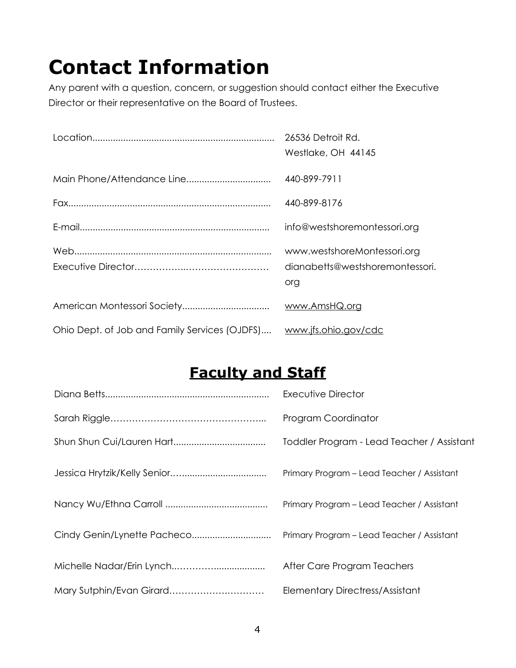# **Contact Information**

Any parent with a question, concern, or suggestion should contact either the Executive Director or their representative on the Board of Trustees.

|                                               | 26536 Detroit Rd.<br>Westlake, OH 44145                               |
|-----------------------------------------------|-----------------------------------------------------------------------|
|                                               | 440-899-7911                                                          |
|                                               | 440-899-8176                                                          |
|                                               | info@westshoremontessori.org                                          |
|                                               | www.westshoreMontessori.org<br>dianabetts@westshoremontessori.<br>org |
|                                               | www.AmsHQ.org                                                         |
| Ohio Dept. of Job and Family Services (OJDFS) | www.jfs.ohio.gov/cdc                                                  |

# **Faculty and Staff**

|                          | <b>Executive Director</b>                  |
|--------------------------|--------------------------------------------|
|                          | Program Coordinator                        |
|                          | Toddler Program - Lead Teacher / Assistant |
|                          | Primary Program - Lead Teacher / Assistant |
|                          | Primary Program - Lead Teacher / Assistant |
|                          | Primary Program - Lead Teacher / Assistant |
|                          | After Care Program Teachers                |
| Mary Sutphin/Evan Girard | <b>Elementary Directress/Assistant</b>     |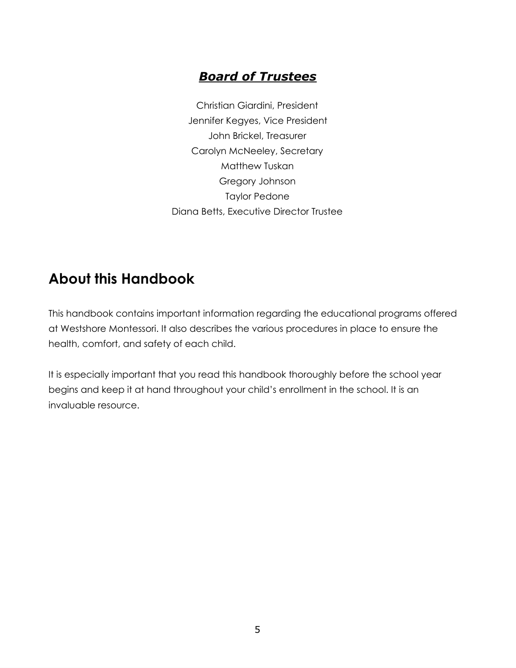### *Board of Trustees*

Christian Giardini, President Jennifer Kegyes, Vice President John Brickel, Treasurer Carolyn McNeeley, Secretary Matthew Tuskan Gregory Johnson Taylor Pedone Diana Betts, Executive Director Trustee

### **About this Handbook**

This handbook contains important information regarding the educational programs offered at Westshore Montessori. It also describes the various procedures in place to ensure the health, comfort, and safety of each child.

It is especially important that you read this handbook thoroughly before the school year begins and keep it at hand throughout your child's enrollment in the school. It is an invaluable resource.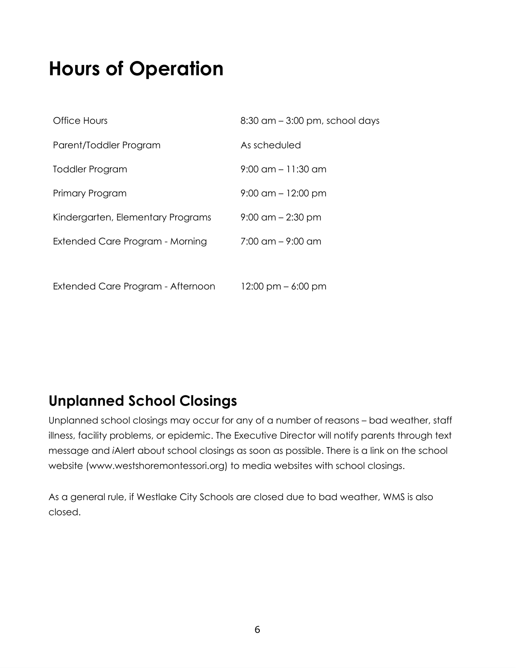# **Hours of Operation**

| Office Hours                      | $8:30$ am $-3:00$ pm, school days    |
|-----------------------------------|--------------------------------------|
| Parent/Toddler Program            | As scheduled                         |
| <b>Toddler Program</b>            | $9:00 \text{ cm} - 11:30 \text{ cm}$ |
| Primary Program                   | $9:00$ am $-12:00$ pm                |
| Kindergarten, Elementary Programs | $9:00$ am $-2:30$ pm                 |
| Extended Care Program - Morning   | $7:00 \text{ cm} - 9:00 \text{ cm}$  |
|                                   |                                      |
| Extended Care Program - Afternoon | $12:00 \text{ pm} - 6:00 \text{ pm}$ |

## **Unplanned School Closings**

Unplanned school closings may occur for any of a number of reasons – bad weather, staff illness, facility problems, or epidemic. The Executive Director will notify parents through text message and *i*Alert about school closings as soon as possible. There is a link on the school website (www.westshoremontessori.org) to media websites with school closings.

As a general rule, if Westlake City Schools are closed due to bad weather, WMS is also closed.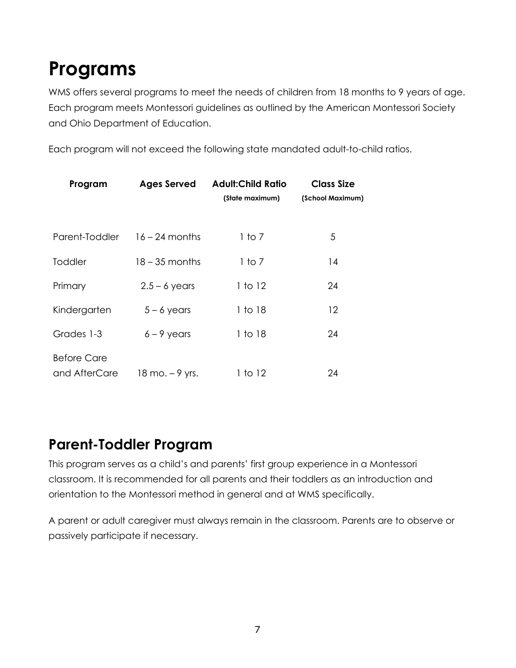# **Programs**

WMS offers several programs to meet the needs of children from 18 months to 9 years of age. Each program meets Montessori guidelines as outlined by the American Montessori Society and Ohio Department of Education.

Each program will not exceed the following state mandated adult-to-child ratios.

| Program                             | <b>Ages Served</b>                | <b>Adult:Child Ratio</b><br>(State maximum) | <b>Class Size</b><br>(School Maximum) |
|-------------------------------------|-----------------------------------|---------------------------------------------|---------------------------------------|
| Parent-Toddler                      | $16 - 24$ months                  | 1 to 7                                      | 5                                     |
| Toddler                             | $18 - 35$ months                  | 1 to 7                                      | 14                                    |
| Primary                             | $2.5 - 6$ years                   | 1 to 12                                     | 24                                    |
| Kindergarten                        | $5 - 6$ years                     | 1 to 18                                     | 12                                    |
| Grades 1-3                          | $6 - 9$ years                     | 1 to 18                                     | 24                                    |
| <b>Before Care</b><br>and AfterCare | $18 \text{ mo.} - 9 \text{ yrs.}$ | 1 to 12                                     | 24                                    |

### **Parent-Toddler Program**

This program serves as a child's and parents' first group experience in a Montessori classroom. It is recommended for all parents and their toddlers as an introduction and orientation to the Montessori method in general and at WMS specifically.

A parent or adult caregiver must always remain in the classroom. Parents are to observe or passively participate if necessary.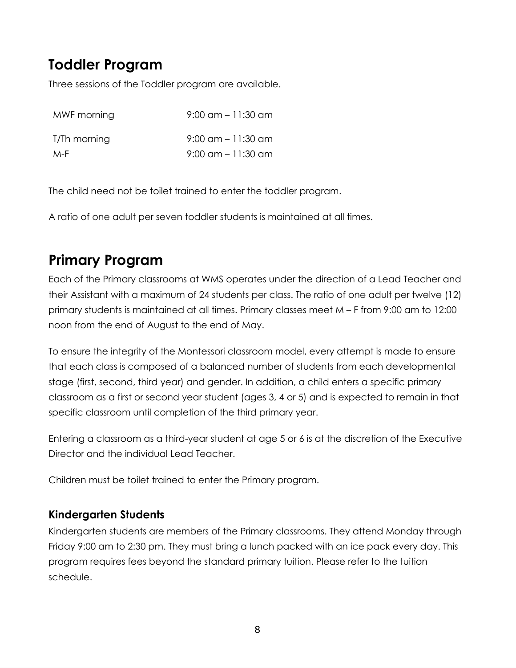### **Toddler Program**

Three sessions of the Toddler program are available.

| MWF morning  | $9:00$ am $-11:30$ am |
|--------------|-----------------------|
| T/Th morning | $9:00$ am $-11:30$ am |
| M-F          | $9:00$ am $-11:30$ am |

The child need not be toilet trained to enter the toddler program.

A ratio of one adult per seven toddler students is maintained at all times.

## **Primary Program**

Each of the Primary classrooms at WMS operates under the direction of a Lead Teacher and their Assistant with a maximum of 24 students per class. The ratio of one adult per twelve (12) primary students is maintained at all times. Primary classes meet M – F from 9:00 am to 12:00 noon from the end of August to the end of May.

To ensure the integrity of the Montessori classroom model, every attempt is made to ensure that each class is composed of a balanced number of students from each developmental stage (first, second, third year) and gender. In addition, a child enters a specific primary classroom as a first or second year student (ages 3, 4 or 5) and is expected to remain in that specific classroom until completion of the third primary year.

Entering a classroom as a third-year student at age 5 or 6 is at the discretion of the Executive Director and the individual Lead Teacher.

Children must be toilet trained to enter the Primary program.

#### **Kindergarten Students**

Kindergarten students are members of the Primary classrooms. They attend Monday through Friday 9:00 am to 2:30 pm. They must bring a lunch packed with an ice pack every day. This program requires fees beyond the standard primary tuition. Please refer to the tuition schedule.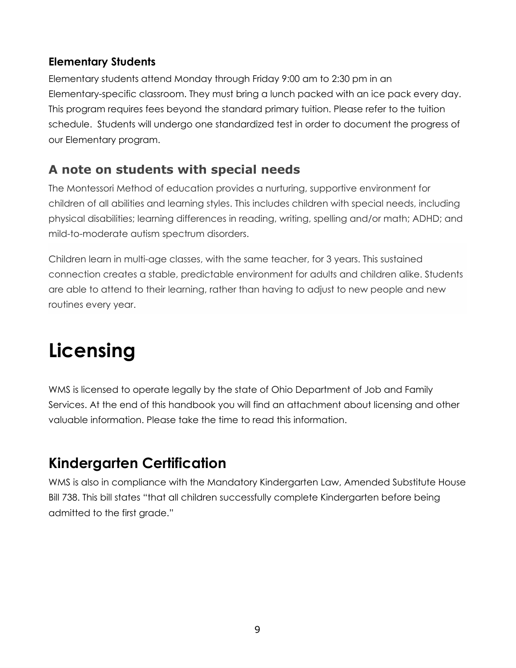#### **Elementary Students**

Elementary students attend Monday through Friday 9:00 am to 2:30 pm in an Elementary-specific classroom. They must bring a lunch packed with an ice pack every day. This program requires fees beyond the standard primary tuition. Please refer to the tuition schedule. Students will undergo one standardized test in order to document the progress of our Elementary program.

### **A note on students with special needs**

The Montessori Method of education provides a nurturing, supportive environment for children of all abilities and learning styles. This includes children with special needs, including physical disabilities; learning differences in reading, writing, spelling and/or math; ADHD; and mild-to-moderate autism spectrum disorders.

Children learn in multi-age classes, with the same teacher, for 3 years. This sustained connection creates a stable, predictable environment for adults and children alike. Students are able to attend to their learning, rather than having to adjust to new people and new routines every year.

# **Licensing**

WMS is licensed to operate legally by the state of Ohio Department of Job and Family Services. At the end of this handbook you will find an attachment about licensing and other valuable information. Please take the time to read this information.

## **Kindergarten Certification**

WMS is also in compliance with the Mandatory Kindergarten Law, Amended Substitute House Bill 738. This bill states "that all children successfully complete Kindergarten before being admitted to the first grade."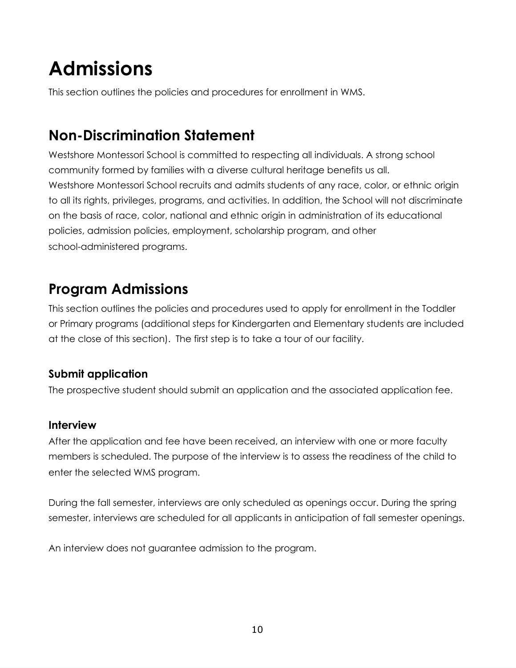# **Admissions**

This section outlines the policies and procedures for enrollment in WMS.

## **Non-Discrimination Statement**

Westshore Montessori School is committed to respecting all individuals. A strong school community formed by families with a diverse cultural heritage benefits us all. Westshore Montessori School recruits and admits students of any race, color, or ethnic origin to all its rights, privileges, programs, and activities. In addition, the School will not discriminate on the basis of race, color, national and ethnic origin in administration of its educational policies, admission policies, employment, scholarship program, and other school-administered programs.

### **Program Admissions**

This section outlines the policies and procedures used to apply for enrollment in the Toddler or Primary programs (additional steps for Kindergarten and Elementary students are included at the close of this section). The first step is to take a tour of our facility.

#### **Submit application**

The prospective student should submit an application and the associated application fee.

#### **Interview**

After the application and fee have been received, an interview with one or more faculty members is scheduled. The purpose of the interview is to assess the readiness of the child to enter the selected WMS program.

During the fall semester, interviews are only scheduled as openings occur. During the spring semester, interviews are scheduled for all applicants in anticipation of fall semester openings.

An interview does not guarantee admission to the program.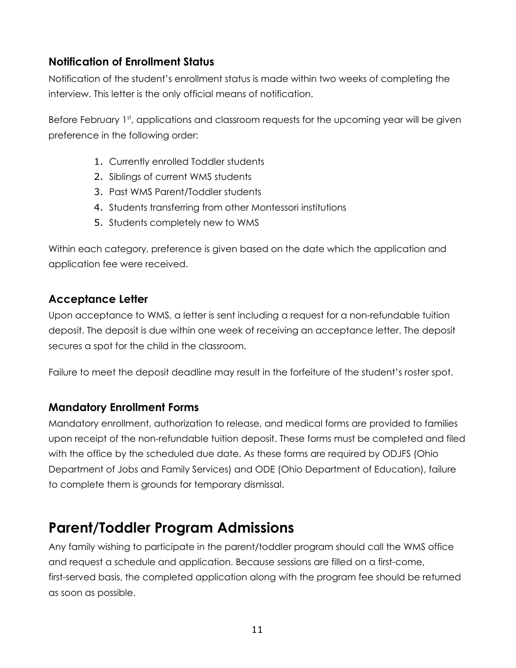#### **Notification of Enrollment Status**

Notification of the student's enrollment status is made within two weeks of completing the interview. This letter is the only official means of notification.

Before February 1st, applications and classroom requests for the upcoming year will be given preference in the following order:

- 1. Currently enrolled Toddler students
- 2. Siblings of current WMS students
- 3. Past WMS Parent/Toddler students
- 4. Students transferring from other Montessori institutions
- 5. Students completely new to WMS

Within each category, preference is given based on the date which the application and application fee were received.

#### **Acceptance Letter**

Upon acceptance to WMS, a letter is sent including a request for a non-refundable tuition deposit. The deposit is due within one week of receiving an acceptance letter. The deposit secures a spot for the child in the classroom.

Failure to meet the deposit deadline may result in the forfeiture of the student's roster spot.

#### **Mandatory Enrollment Forms**

Mandatory enrollment, authorization to release, and medical forms are provided to families upon receipt of the non-refundable tuition deposit. These forms must be completed and filed with the office by the scheduled due date. As these forms are required by ODJFS (Ohio Department of Jobs and Family Services) and ODE (Ohio Department of Education), failure to complete them is grounds for temporary dismissal.

### **Parent/Toddler Program Admissions**

Any family wishing to participate in the parent/toddler program should call the WMS office and request a schedule and application. Because sessions are filled on a first-come, first-served basis, the completed application along with the program fee should be returned as soon as possible.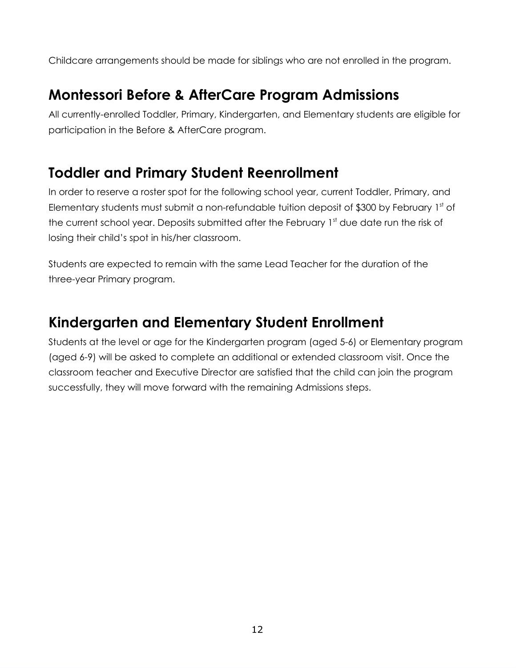Childcare arrangements should be made for siblings who are not enrolled in the program.

### **Montessori Before & AfterCare Program Admissions**

All currently-enrolled Toddler, Primary, Kindergarten, and Elementary students are eligible for participation in the Before & AfterCare program.

### **Toddler and Primary Student Reenrollment**

In order to reserve a roster spot for the following school year, current Toddler, Primary, and Elementary students must submit a non-refundable tuition deposit of \$300 by February 1st of the current school year. Deposits submitted after the February 1st due date run the risk of losing their child's spot in his/her classroom.

Students are expected to remain with the same Lead Teacher for the duration of the three-year Primary program.

### **Kindergarten and Elementary Student Enrollment**

Students at the level or age for the Kindergarten program (aged 5-6) or Elementary program (aged 6-9) will be asked to complete an additional or extended classroom visit. Once the classroom teacher and Executive Director are satisfied that the child can join the program successfully, they will move forward with the remaining Admissions steps.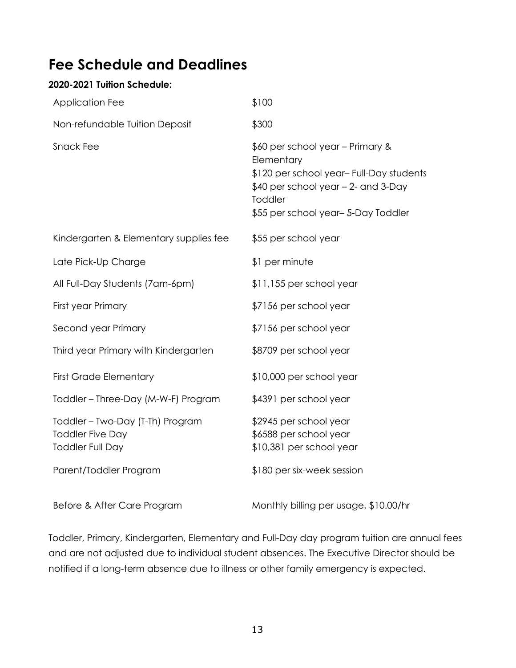### **Fee Schedule and Deadlines**

#### **2020-2021 Tuition Schedule:**

| Application Fee                                                                        | \$100                                                                                                                                                                              |
|----------------------------------------------------------------------------------------|------------------------------------------------------------------------------------------------------------------------------------------------------------------------------------|
| Non-refundable Tuition Deposit                                                         | \$300                                                                                                                                                                              |
| <b>Snack Fee</b>                                                                       | \$60 per school year - Primary &<br>Elementary<br>\$120 per school year- Full-Day students<br>\$40 per school year - 2- and 3-Day<br>Toddler<br>\$55 per school year-5-Day Toddler |
| Kindergarten & Elementary supplies fee                                                 | \$55 per school year                                                                                                                                                               |
| Late Pick-Up Charge                                                                    | \$1 per minute                                                                                                                                                                     |
| All Full-Day Students (7am-6pm)                                                        | \$11,155 per school year                                                                                                                                                           |
| First year Primary                                                                     | \$7156 per school year                                                                                                                                                             |
| Second year Primary                                                                    | \$7156 per school year                                                                                                                                                             |
| Third year Primary with Kindergarten                                                   | \$8709 per school year                                                                                                                                                             |
| <b>First Grade Elementary</b>                                                          | \$10,000 per school year                                                                                                                                                           |
| Toddler - Three-Day (M-W-F) Program                                                    | \$4391 per school year                                                                                                                                                             |
| Toddler - Two-Day (T-Th) Program<br><b>Toddler Five Day</b><br><b>Toddler Full Day</b> | \$2945 per school year<br>\$6588 per school year<br>\$10,381 per school year                                                                                                       |
| Parent/Toddler Program                                                                 | \$180 per six-week session                                                                                                                                                         |
| Before & After Care Program                                                            | Monthly billing per usage, \$10.00/hr                                                                                                                                              |

Toddler, Primary, Kindergarten, Elementary and Full-Day day program tuition are annual fees and are not adjusted due to individual student absences. The Executive Director should be notified if a long-term absence due to illness or other family emergency is expected.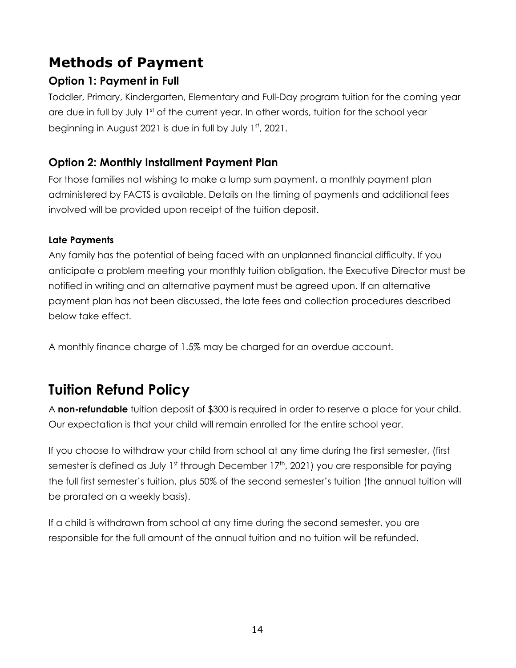## **Methods of Payment**

#### **Option 1: Payment in Full**

Toddler, Primary, Kindergarten, Elementary and Full-Day program tuition for the coming year are due in full by July 1<sup>st</sup> of the current year. In other words, tuition for the school year beginning in August 2021 is due in full by July  $1<sup>st</sup>$ , 2021.

#### **Option 2: Monthly Installment Payment Plan**

For those families not wishing to make a lump sum payment, a monthly payment plan administered by FACTS is available. Details on the timing of payments and additional fees involved will be provided upon receipt of the tuition deposit.

#### **Late Payments**

Any family has the potential of being faced with an unplanned financial difficulty. If you anticipate a problem meeting your monthly tuition obligation, the Executive Director must be notified in writing and an alternative payment must be agreed upon. If an alternative payment plan has not been discussed, the late fees and collection procedures described below take effect.

A monthly finance charge of 1.5% may be charged for an overdue account.

## **Tuition Refund Policy**

A **non-refundable** tuition deposit of \$300 is required in order to reserve a place for your child. Our expectation is that your child will remain enrolled for the entire school year.

If you choose to withdraw your child from school at any time during the first semester, (first semester is defined as July 1st through December 17th, 2021) you are responsible for paying the full first semester's tuition, plus 50% of the second semester's tuition (the annual tuition will be prorated on a weekly basis).

If a child is withdrawn from school at any time during the second semester, you are responsible for the full amount of the annual tuition and no tuition will be refunded.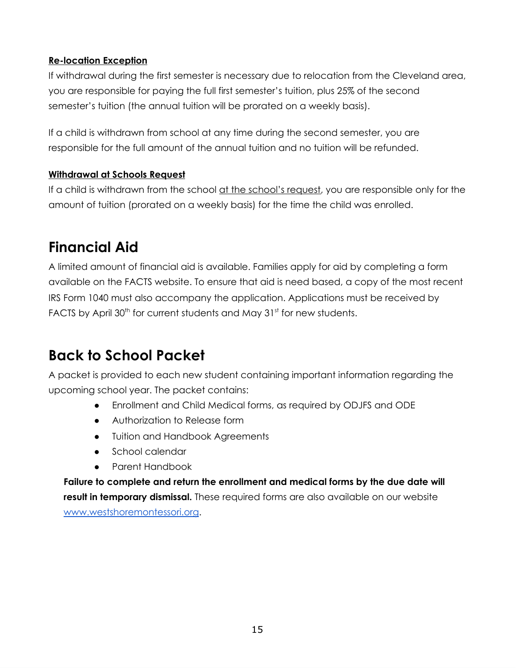#### **Re-location Exception**

If withdrawal during the first semester is necessary due to relocation from the Cleveland area, you are responsible for paying the full first semester's tuition, plus 25% of the second semester's tuition (the annual tuition will be prorated on a weekly basis).

If a child is withdrawn from school at any time during the second semester, you are responsible for the full amount of the annual tuition and no tuition will be refunded.

#### **Withdrawal at Schools Request**

If a child is withdrawn from the school at the school's request, you are responsible only for the amount of tuition (prorated on a weekly basis) for the time the child was enrolled.

### **Financial Aid**

A limited amount of financial aid is available. Families apply for aid by completing a form available on the FACTS website. To ensure that aid is need based, a copy of the most recent IRS Form 1040 must also accompany the application. Applications must be received by FACTS by April  $30<sup>th</sup>$  for current students and May  $31<sup>st</sup>$  for new students.

### **Back to School Packet**

A packet is provided to each new student containing important information regarding the upcoming school year. The packet contains:

- Enrollment and Child Medical forms, as required by ODJFS and ODE
- Authorization to Release form
- **Tuition and Handbook Agreements**
- School calendar
- Parent Handbook

**Failure to complete and return the enrollment and medical forms by the due date will result in temporary dismissal.** These required forms are also available on our website [www.westshoremontessori.org](http://www.westshoremontessori.org/).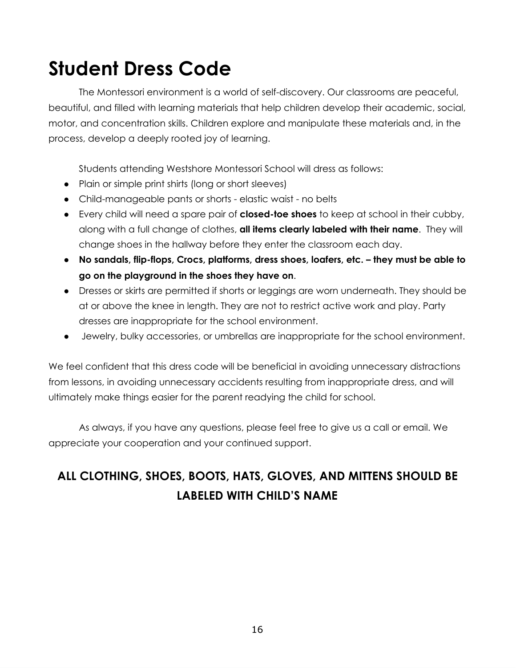# **Student Dress Code**

The Montessori environment is a world of self-discovery. Our classrooms are peaceful, beautiful, and filled with learning materials that help children develop their academic, social, motor, and concentration skills. Children explore and manipulate these materials and, in the process, develop a deeply rooted joy of learning.

Students attending Westshore Montessori School will dress as follows:

- Plain or simple print shirts (long or short sleeves)
- Child-manageable pants or shorts elastic waist no belts
- Every child will need a spare pair of **closed-toe shoes** to keep at school in their cubby, along with a full change of clothes, **all items clearly labeled with their name**. They will change shoes in the hallway before they enter the classroom each day.
- **No sandals, flip-flops, Crocs, platforms, dress shoes, loafers, etc. – they must be able to go on the playground in the shoes they have on**.
- Dresses or skirts are permitted if shorts or leggings are worn underneath. They should be at or above the knee in length. They are not to restrict active work and play. Party dresses are inappropriate for the school environment.
- Jewelry, bulky accessories, or umbrellas are inappropriate for the school environment.

We feel confident that this dress code will be beneficial in avoiding unnecessary distractions from lessons, in avoiding unnecessary accidents resulting from inappropriate dress, and will ultimately make things easier for the parent readying the child for school.

As always, if you have any questions, please feel free to give us a call or email. We appreciate your cooperation and your continued support.

### **ALL CLOTHING, SHOES, BOOTS, HATS, GLOVES, AND MITTENS SHOULD BE LABELED WITH CHILD'S NAME**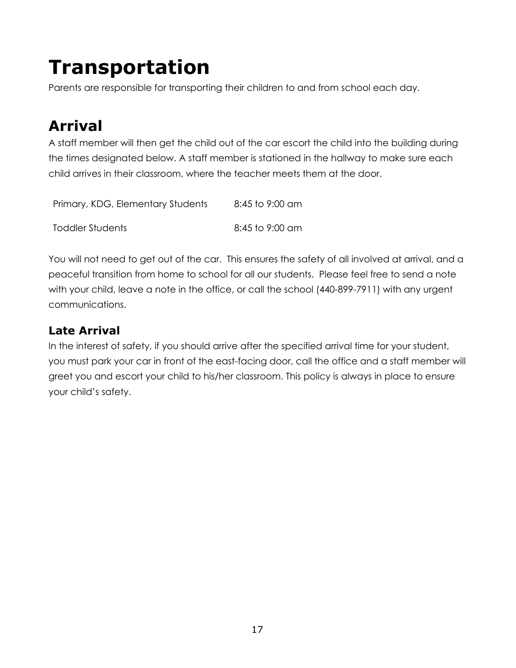# **Transportation**

Parents are responsible for transporting their children to and from school each day.

# **Arrival**

A staff member will then get the child out of the car escort the child into the building during the times designated below. A staff member is stationed in the hallway to make sure each child arrives in their classroom, where the teacher meets them at the door.

| Primary, KDG, Elementary Students | 8:45 to 9:00 am |
|-----------------------------------|-----------------|
| Toddler Students                  | 8:45 to 9:00 am |

You will not need to get out of the car. This ensures the safety of all involved at arrival, and a peaceful transition from home to school for all our students. Please feel free to send a note with your child, leave a note in the office, or call the school (440-899-7911) with any urgent communications.

### **Late Arrival**

In the interest of safety, if you should arrive after the specified arrival time for your student, you must park your car in front of the east-facing door, call the office and a staff member will greet you and escort your child to his/her classroom. This policy is always in place to ensure your child's safety.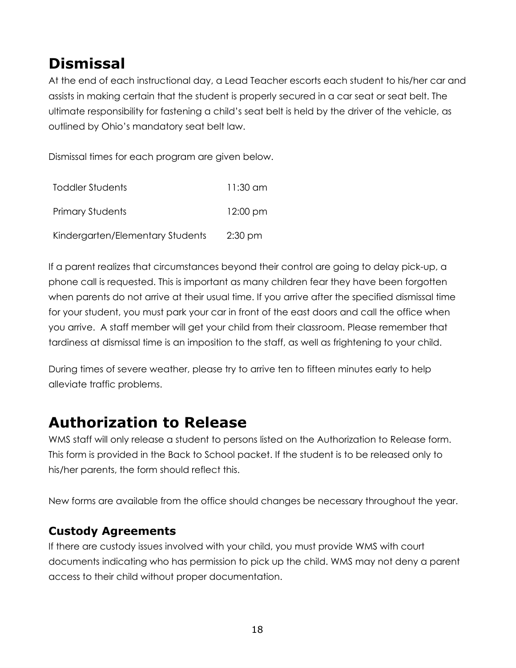## **Dismissal**

At the end of each instructional day, a Lead Teacher escorts each student to his/her car and assists in making certain that the student is properly secured in a car seat or seat belt. The ultimate responsibility for fastening a child's seat belt is held by the driver of the vehicle, as outlined by Ohio's mandatory seat belt law.

Dismissal times for each program are given below.

| Toddler Students                 | 11:30 am           |
|----------------------------------|--------------------|
| <b>Primary Students</b>          | $12:00 \text{ pm}$ |
| Kindergarten/Elementary Students | $2:30$ pm          |

If a parent realizes that circumstances beyond their control are going to delay pick-up, a phone call is requested. This is important as many children fear they have been forgotten when parents do not arrive at their usual time. If you arrive after the specified dismissal time for your student, you must park your car in front of the east doors and call the office when you arrive. A staff member will get your child from their classroom. Please remember that tardiness at dismissal time is an imposition to the staff, as well as frightening to your child.

During times of severe weather, please try to arrive ten to fifteen minutes early to help alleviate traffic problems.

## **Authorization to Release**

WMS staff will only release a student to persons listed on the Authorization to Release form. This form is provided in the Back to School packet. If the student is to be released only to his/her parents, the form should reflect this.

New forms are available from the office should changes be necessary throughout the year.

#### **Custody Agreements**

If there are custody issues involved with your child, you must provide WMS with court documents indicating who has permission to pick up the child. WMS may not deny a parent access to their child without proper documentation.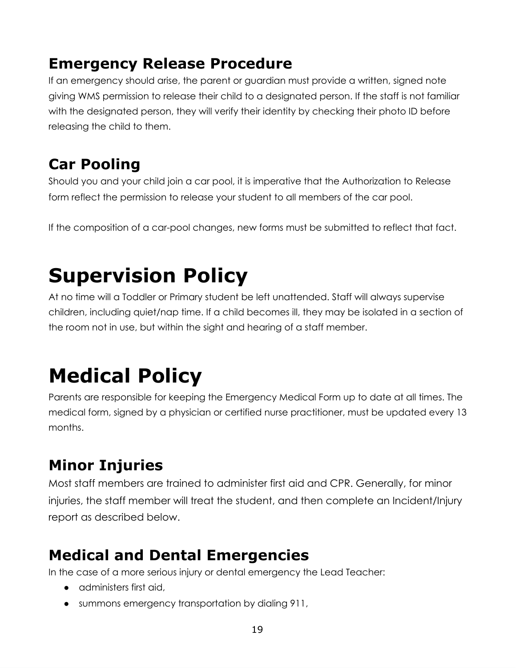## **Emergency Release Procedure**

If an emergency should arise, the parent or guardian must provide a written, signed note giving WMS permission to release their child to a designated person. If the staff is not familiar with the designated person, they will verify their identity by checking their photo ID before releasing the child to them.

# **Car Pooling**

Should you and your child join a car pool, it is imperative that the Authorization to Release form reflect the permission to release your student to all members of the car pool.

If the composition of a car-pool changes, new forms must be submitted to reflect that fact.

# **Supervision Policy**

At no time will a Toddler or Primary student be left unattended. Staff will always supervise children, including quiet/nap time. If a child becomes ill, they may be isolated in a section of the room not in use, but within the sight and hearing of a staff member.

# **Medical Policy**

Parents are responsible for keeping the Emergency Medical Form up to date at all times. The medical form, signed by a physician or certified nurse practitioner, must be updated every 13 months.

## **Minor Injuries**

Most staff members are trained to administer first aid and CPR. Generally, for minor injuries, the staff member will treat the student, and then complete an Incident/Injury report as described below.

## **Medical and Dental Emergencies**

In the case of a more serious injury or dental emergency the Lead Teacher:

- administers first aid,
- summons emergency transportation by dialing 911,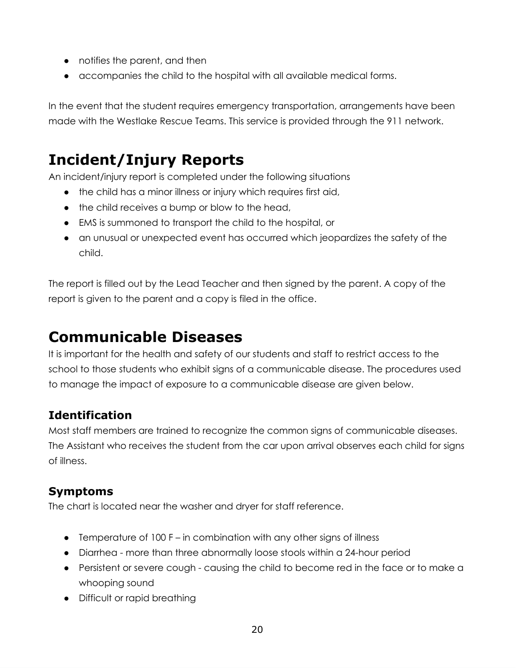- notifies the parent, and then
- accompanies the child to the hospital with all available medical forms.

In the event that the student requires emergency transportation, arrangements have been made with the Westlake Rescue Teams. This service is provided through the 911 network.

## **Incident/Injury Reports**

An incident/injury report is completed under the following situations

- the child has a minor illness or injury which requires first aid,
- the child receives a bump or blow to the head,
- EMS is summoned to transport the child to the hospital, or
- an unusual or unexpected event has occurred which jeopardizes the safety of the child.

The report is filled out by the Lead Teacher and then signed by the parent. A copy of the report is given to the parent and a copy is filed in the office.

## **Communicable Diseases**

It is important for the health and safety of our students and staff to restrict access to the school to those students who exhibit signs of a communicable disease. The procedures used to manage the impact of exposure to a communicable disease are given below.

### **Identification**

Most staff members are trained to recognize the common signs of communicable diseases. The Assistant who receives the student from the car upon arrival observes each child for signs of illness.

#### **Symptoms**

The chart is located near the washer and dryer for staff reference.

- Temperature of 100 F in combination with any other signs of illness
- Diarrhea more than three abnormally loose stools within a 24-hour period
- Persistent or severe cough causing the child to become red in the face or to make a whooping sound
- Difficult or rapid breathing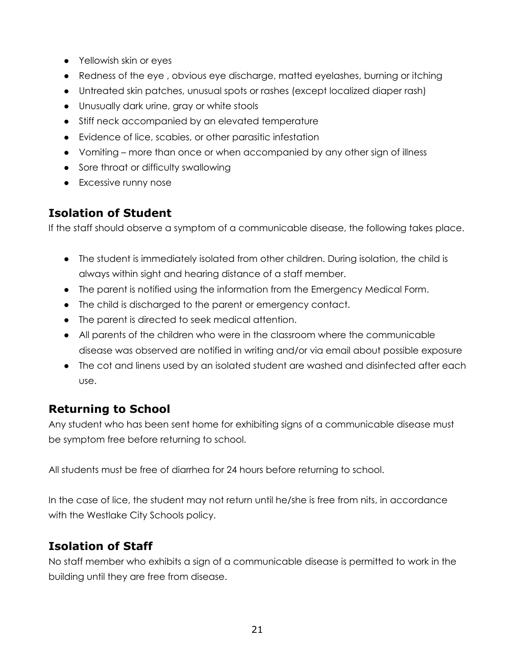- Yellowish skin or eyes
- Redness of the eye , obvious eye discharge, matted eyelashes, burning or itching
- Untreated skin patches, unusual spots or rashes (except localized diaper rash)
- Unusually dark urine, gray or white stools
- Stiff neck accompanied by an elevated temperature
- Evidence of lice, scabies, or other parasitic infestation
- Vomiting more than once or when accompanied by any other sign of illness
- Sore throat or difficulty swallowing
- Excessive runny nose

### **Isolation of Student**

If the staff should observe a symptom of a communicable disease, the following takes place.

- The student is immediately isolated from other children. During isolation, the child is always within sight and hearing distance of a staff member.
- The parent is notified using the information from the Emergency Medical Form.
- The child is discharged to the parent or emergency contact.
- The parent is directed to seek medical attention.
- All parents of the children who were in the classroom where the communicable disease was observed are notified in writing and/or via email about possible exposure
- The cot and linens used by an isolated student are washed and disinfected after each use.

### **Returning to School**

Any student who has been sent home for exhibiting signs of a communicable disease must be symptom free before returning to school.

All students must be free of diarrhea for 24 hours before returning to school.

In the case of lice, the student may not return until he/she is free from nits, in accordance with the Westlake City Schools policy.

### **Isolation of Staff**

No staff member who exhibits a sign of a communicable disease is permitted to work in the building until they are free from disease.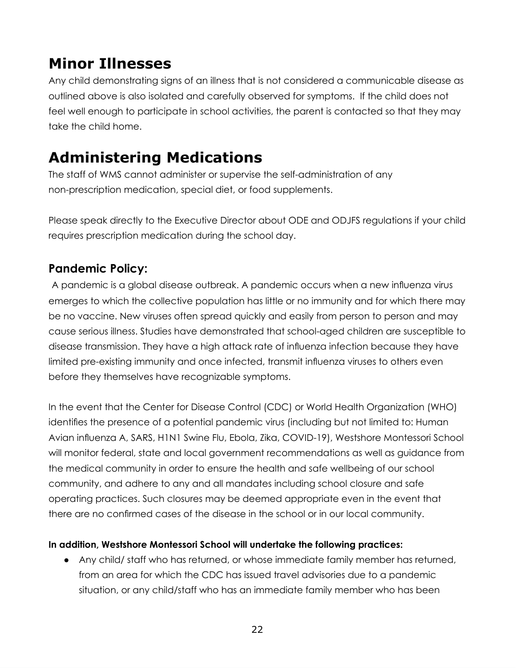### **Minor Illnesses**

Any child demonstrating signs of an illness that is not considered a communicable disease as outlined above is also isolated and carefully observed for symptoms. If the child does not feel well enough to participate in school activities, the parent is contacted so that they may take the child home.

## **Administering Medications**

The staff of WMS cannot administer or supervise the self-administration of any non-prescription medication, special diet, or food supplements.

Please speak directly to the Executive Director about ODE and ODJFS regulations if your child requires prescription medication during the school day.

### **Pandemic Policy:**

A pandemic is a global disease outbreak. A pandemic occurs when a new influenza virus emerges to which the collective population has little or no immunity and for which there may be no vaccine. New viruses often spread quickly and easily from person to person and may cause serious illness. Studies have demonstrated that school-aged children are susceptible to disease transmission. They have a high attack rate of influenza infection because they have limited pre-existing immunity and once infected, transmit influenza viruses to others even before they themselves have recognizable symptoms.

In the event that the Center for Disease Control (CDC) or World Health Organization (WHO) identifies the presence of a potential pandemic virus (including but not limited to: Human Avian influenza A, SARS, H1N1 Swine Flu, Ebola, Zika, COVID-19), Westshore Montessori School will monitor federal, state and local government recommendations as well as guidance from the medical community in order to ensure the health and safe wellbeing of our school community, and adhere to any and all mandates including school closure and safe operating practices. Such closures may be deemed appropriate even in the event that there are no confirmed cases of the disease in the school or in our local community.

#### **In addition, Westshore Montessori School will undertake the following practices:**

● Any child/ staff who has returned, or whose immediate family member has returned, from an area for which the CDC has issued travel advisories due to a pandemic situation, or any child/staff who has an immediate family member who has been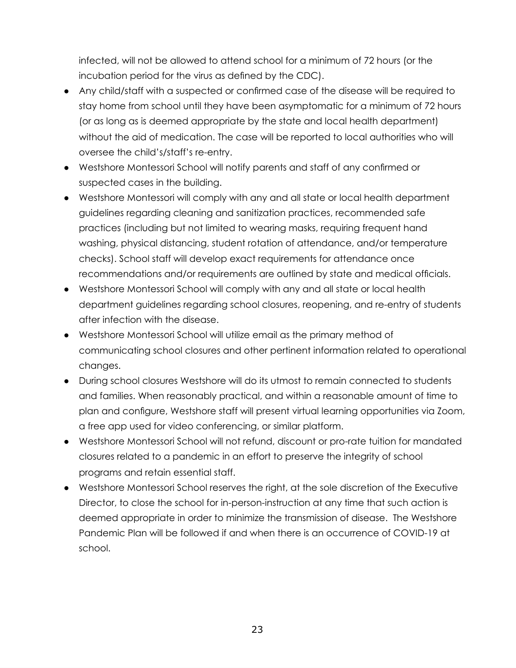infected, will not be allowed to attend school for a minimum of 72 hours (or the incubation period for the virus as defined by the CDC).

- Any child/staff with a suspected or confirmed case of the disease will be required to stay home from school until they have been asymptomatic for a minimum of 72 hours (or as long as is deemed appropriate by the state and local health department) without the aid of medication. The case will be reported to local authorities who will oversee the child's/staff's re-entry.
- Westshore Montessori School will notify parents and staff of any confirmed or suspected cases in the building.
- Westshore Montessori will comply with any and all state or local health department guidelines regarding cleaning and sanitization practices, recommended safe practices (including but not limited to wearing masks, requiring frequent hand washing, physical distancing, student rotation of attendance, and/or temperature checks). School staff will develop exact requirements for attendance once recommendations and/or requirements are outlined by state and medical officials.
- Westshore Montessori School will comply with any and all state or local health department guidelines regarding school closures, reopening, and re-entry of students after infection with the disease.
- Westshore Montessori School will utilize email as the primary method of communicating school closures and other pertinent information related to operational changes.
- During school closures Westshore will do its utmost to remain connected to students and families. When reasonably practical, and within a reasonable amount of time to plan and configure, Westshore staff will present virtual learning opportunities via Zoom, a free app used for video conferencing, or similar platform.
- Westshore Montessori School will not refund, discount or pro-rate tuition for mandated closures related to a pandemic in an effort to preserve the integrity of school programs and retain essential staff.
- Westshore Montessori School reserves the right, at the sole discretion of the Executive Director, to close the school for in-person-instruction at any time that such action is deemed appropriate in order to minimize the transmission of disease. The Westshore Pandemic Plan will be followed if and when there is an occurrence of COVID-19 at school.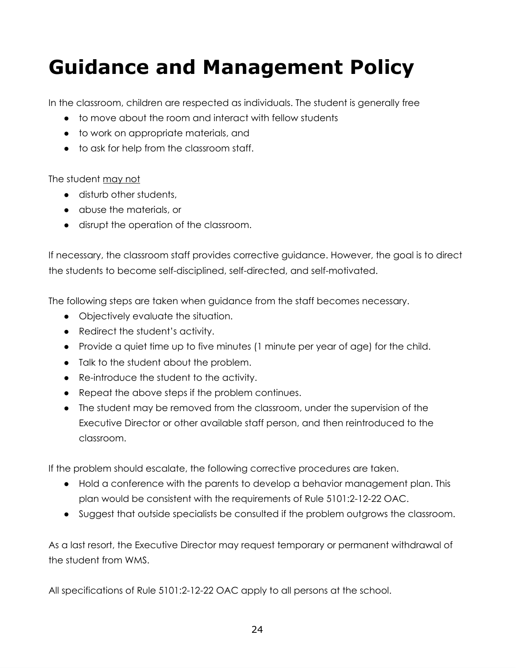# **Guidance and Management Policy**

In the classroom, children are respected as individuals. The student is generally free

- to move about the room and interact with fellow students
- to work on appropriate materials, and
- to ask for help from the classroom staff.

#### The student may not

- disturb other students,
- abuse the materials, or
- disrupt the operation of the classroom.

If necessary, the classroom staff provides corrective guidance. However, the goal is to direct the students to become self-disciplined, self-directed, and self-motivated.

The following steps are taken when guidance from the staff becomes necessary.

- Objectively evaluate the situation.
- Redirect the student's activity.
- Provide a quiet time up to five minutes (1 minute per year of age) for the child.
- Talk to the student about the problem.
- Re-introduce the student to the activity.
- Repeat the above steps if the problem continues.
- The student may be removed from the classroom, under the supervision of the Executive Director or other available staff person, and then reintroduced to the classroom.

If the problem should escalate, the following corrective procedures are taken.

- Hold a conference with the parents to develop a behavior management plan. This plan would be consistent with the requirements of Rule 5101:2-12-22 OAC.
- Suggest that outside specialists be consulted if the problem outgrows the classroom.

As a last resort, the Executive Director may request temporary or permanent withdrawal of the student from WMS.

All specifications of Rule 5101:2-12-22 OAC apply to all persons at the school.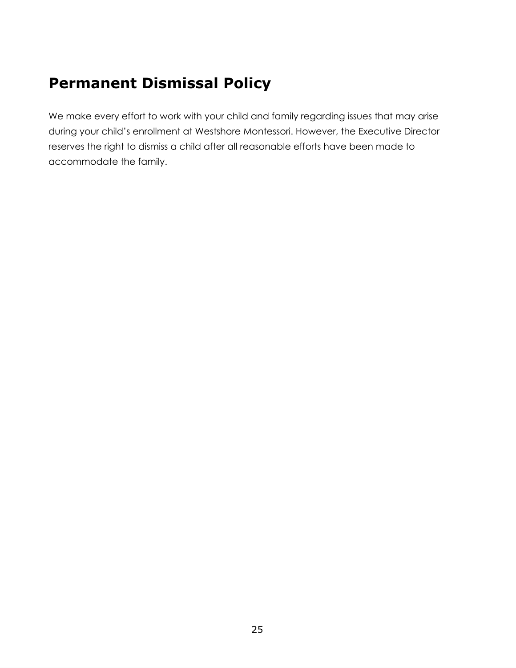## **Permanent Dismissal Policy**

We make every effort to work with your child and family regarding issues that may arise during your child's enrollment at Westshore Montessori. However, the Executive Director reserves the right to dismiss a child after all reasonable efforts have been made to accommodate the family.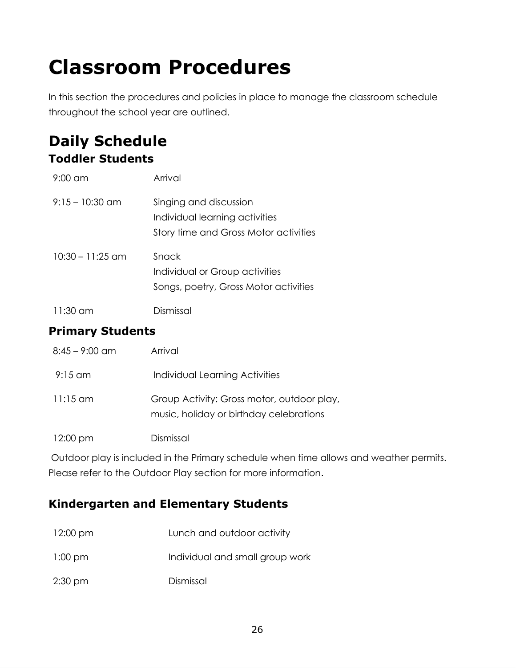# **Classroom Procedures**

In this section the procedures and policies in place to manage the classroom schedule throughout the school year are outlined.

### **Daily Schedule Toddler Students**

| $9:00 \text{ cm}$  | Arrival                                                                                           |
|--------------------|---------------------------------------------------------------------------------------------------|
| $9:15-10:30$ am    | Singing and discussion<br>Individual learning activities<br>Story time and Gross Motor activities |
| $10:30 - 11:25$ am | Snack<br>Individual or Group activities<br>Songs, poetry, Gross Motor activities                  |
| 11:30 am           | Dismissal                                                                                         |

#### **Primary Students**

| $8:45 - 9:00$ am | Arrival                                                                               |
|------------------|---------------------------------------------------------------------------------------|
| $9:15$ am        | Individual Learning Activities                                                        |
| $11:15$ am       | Group Activity: Gross motor, outdoor play,<br>music, holiday or birthday celebrations |
| 12:00 pm         | Dismissal                                                                             |

Outdoor play is included in the Primary schedule when time allows and weather permits. Please refer to the Outdoor Play section for more information.

### **Kindergarten and Elementary Students**

| $12:00 \text{ pm}$ | Lunch and outdoor activity      |
|--------------------|---------------------------------|
| $1:00 \text{ pm}$  | Individual and small group work |
| $2:30 \text{ pm}$  | Dismissal                       |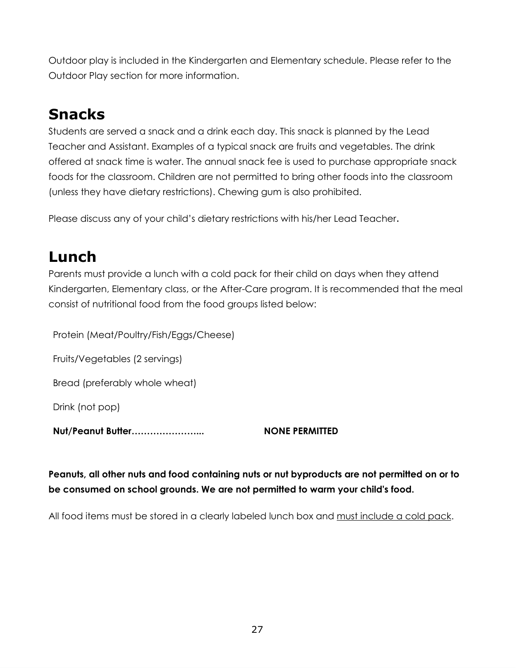Outdoor play is included in the Kindergarten and Elementary schedule. Please refer to the Outdoor Play section for more information.

## **Snacks**

Students are served a snack and a drink each day. This snack is planned by the Lead Teacher and Assistant. Examples of a typical snack are fruits and vegetables. The drink offered at snack time is water. The annual snack fee is used to purchase appropriate snack foods for the classroom. Children are not permitted to bring other foods into the classroom (unless they have dietary restrictions). Chewing gum is also prohibited.

Please discuss any of your child's dietary restrictions with his/her Lead Teacher.

### **Lunch**

Parents must provide a lunch with a cold pack for their child on days when they attend Kindergarten, Elementary class, or the After-Care program. It is recommended that the meal consist of nutritional food from the food groups listed below:

Protein (Meat/Poultry/Fish/Eggs/Cheese)

Fruits/Vegetables (2 servings)

Bread (preferably whole wheat)

Drink (not pop)

**Nut/Peanut Butter…………………... NONE PERMITTED**

**Peanuts, all other nuts and food containing nuts or nut byproducts are not permitted on or to be consumed on school grounds. We are not permitted to warm your child's food.**

All food items must be stored in a clearly labeled lunch box and must include a cold pack.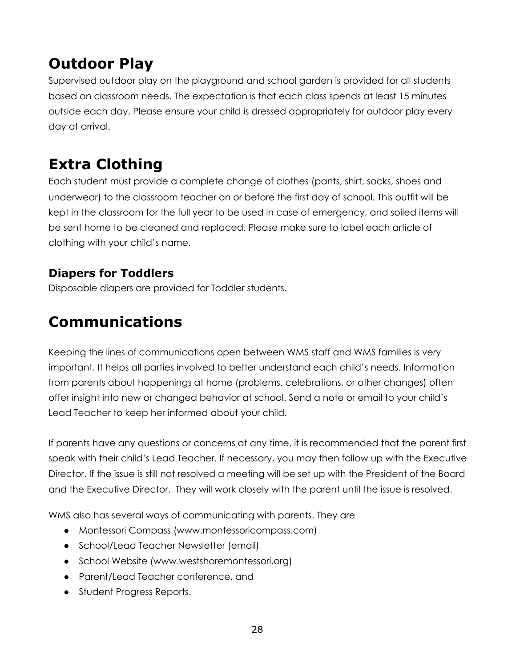# **Outdoor Play**

Supervised outdoor play on the playground and school garden is provided for all students based on classroom needs. The expectation is that each class spends at least 15 minutes outside each day. Please ensure your child is dressed appropriately for outdoor play every day at arrival.

# **Extra Clothing**

Each student must provide a complete change of clothes (pants, shirt, socks, shoes and underwear) to the classroom teacher on or before the first day of school. This outfit will be kept in the classroom for the full year to be used in case of emergency, and soiled items will be sent home to be cleaned and replaced. Please make sure to label each article of clothing with your child's name.

### **Diapers for Toddlers**

Disposable diapers are provided for Toddler students.

## **Communications**

Keeping the lines of communications open between WMS staff and WMS families is very important. It helps all parties involved to better understand each child's needs. Information from parents about happenings at home (problems, celebrations, or other changes) often offer insight into new or changed behavior at school. Send a note or email to your child's Lead Teacher to keep her informed about your child.

If parents have any questions or concerns at any time, it is recommended that the parent first speak with their child's Lead Teacher. If necessary, you may then follow up with the Executive Director. If the issue is still not resolved a meeting will be set up with the President of the Board and the Executive Director. They will work closely with the parent until the issue is resolved.

WMS also has several ways of communicating with parents. They are

- Montessori Compass (www.montessoricompass.com)
- School/Lead Teacher Newsletter (email)
- School Website (www.westshoremontessori.org)
- Parent/Lead Teacher conference, and
- Student Progress Reports.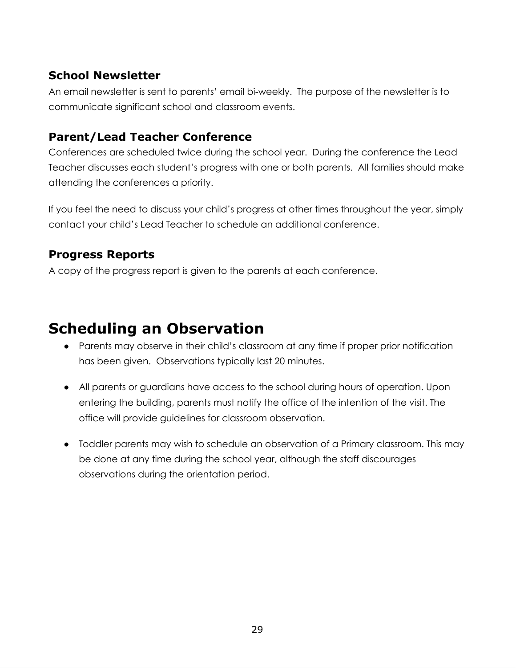#### **School Newsletter**

An email newsletter is sent to parents' email bi-weekly. The purpose of the newsletter is to communicate significant school and classroom events.

#### **Parent/Lead Teacher Conference**

Conferences are scheduled twice during the school year. During the conference the Lead Teacher discusses each student's progress with one or both parents. All families should make attending the conferences a priority.

If you feel the need to discuss your child's progress at other times throughout the year, simply contact your child's Lead Teacher to schedule an additional conference.

#### **Progress Reports**

A copy of the progress report is given to the parents at each conference.

### **Scheduling an Observation**

- Parents may observe in their child's classroom at any time if proper prior notification has been given. Observations typically last 20 minutes.
- All parents or guardians have access to the school during hours of operation. Upon entering the building, parents must notify the office of the intention of the visit. The office will provide guidelines for classroom observation.
- Toddler parents may wish to schedule an observation of a Primary classroom. This may be done at any time during the school year, although the staff discourages observations during the orientation period.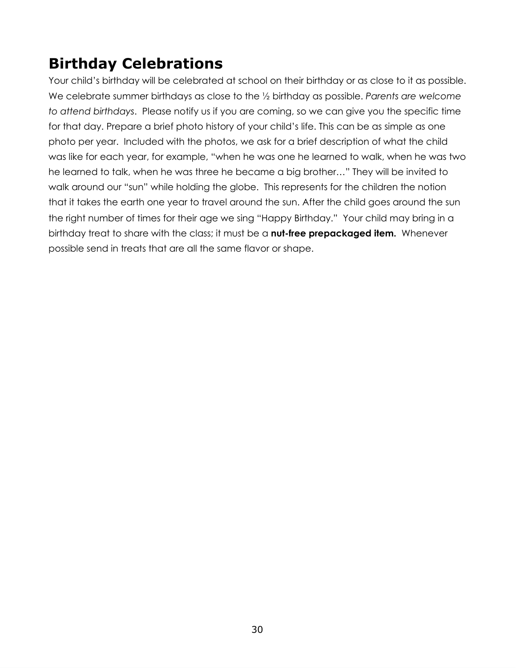## **Birthday Celebrations**

Your child's birthday will be celebrated at school on their birthday or as close to it as possible. We celebrate summer birthdays as close to the ½ birthday as possible. *Parents are welcome to attend birthdays*. Please notify us if you are coming, so we can give you the specific time for that day. Prepare a brief photo history of your child's life. This can be as simple as one photo per year. Included with the photos, we ask for a brief description of what the child was like for each year, for example, "when he was one he learned to walk, when he was two he learned to talk, when he was three he became a big brother…" They will be invited to walk around our "sun" while holding the globe. This represents for the children the notion that it takes the earth one year to travel around the sun. After the child goes around the sun the right number of times for their age we sing "Happy Birthday." Your child may bring in a birthday treat to share with the class; it must be a **nut-free prepackaged item.** Whenever possible send in treats that are all the same flavor or shape.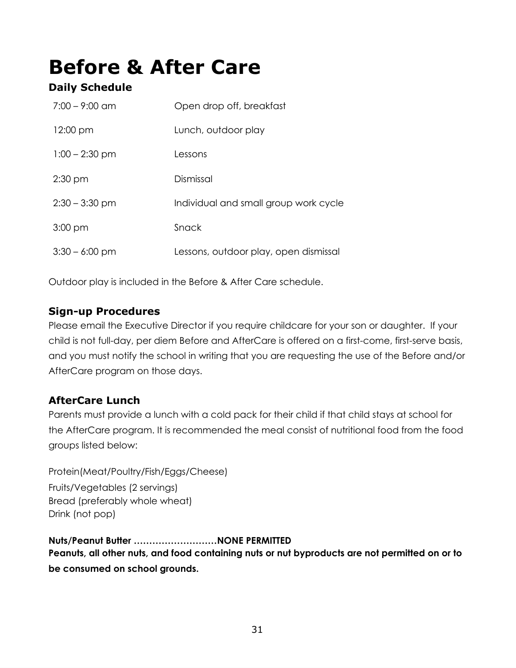# **Before & After Care**

#### **Daily Schedule**

| $7:00 - 9:00$ am   | Open drop off, breakfast              |
|--------------------|---------------------------------------|
| $12:00 \text{ pm}$ | Lunch, outdoor play                   |
| $1:00 - 2:30$ pm   | Lessons                               |
| $2:30$ pm          | Dismissal                             |
| $2:30 - 3:30$ pm   | Individual and small group work cycle |
| $3:00$ pm          | Snack                                 |
| $3:30 - 6:00$ pm   | Lessons, outdoor play, open dismissal |

Outdoor play is included in the Before & After Care schedule.

#### **Sign-up Procedures**

Please email the Executive Director if you require childcare for your son or daughter. If your child is not full-day, per diem Before and AfterCare is offered on a first-come, first-serve basis, and you must notify the school in writing that you are requesting the use of the Before and/or AfterCare program on those days.

#### **AfterCare Lunch**

Parents must provide a lunch with a cold pack for their child if that child stays at school for the AfterCare program. It is recommended the meal consist of nutritional food from the food groups listed below:

Protein(Meat/Poultry/Fish/Eggs/Cheese) Fruits/Vegetables (2 servings) Bread (preferably whole wheat) Drink (not pop)

**Nuts/Peanut Butter ………………………NONE PERMITTED Peanuts, all other nuts, and food containing nuts or nut byproducts are not permitted on or to be consumed on school grounds.**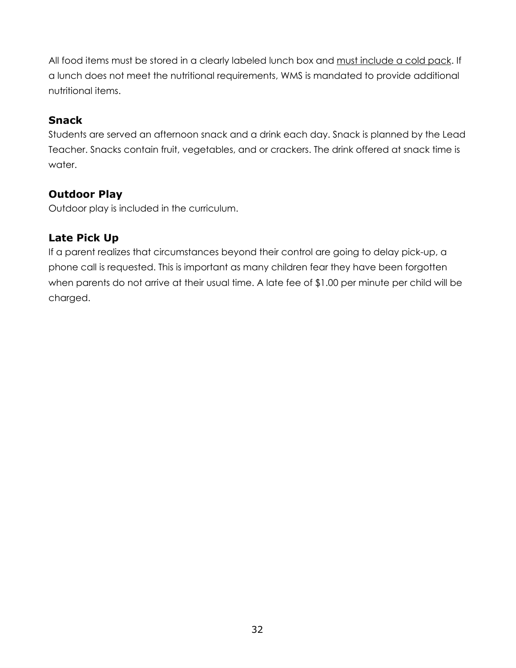All food items must be stored in a clearly labeled lunch box and must include a cold pack. If a lunch does not meet the nutritional requirements, WMS is mandated to provide additional nutritional items.

#### **Snack**

Students are served an afternoon snack and a drink each day. Snack is planned by the Lead Teacher. Snacks contain fruit, vegetables, and or crackers. The drink offered at snack time is water.

#### **Outdoor Play**

Outdoor play is included in the curriculum.

#### **Late Pick Up**

If a parent realizes that circumstances beyond their control are going to delay pick-up, a phone call is requested. This is important as many children fear they have been forgotten when parents do not arrive at their usual time. A late fee of \$1.00 per minute per child will be charged.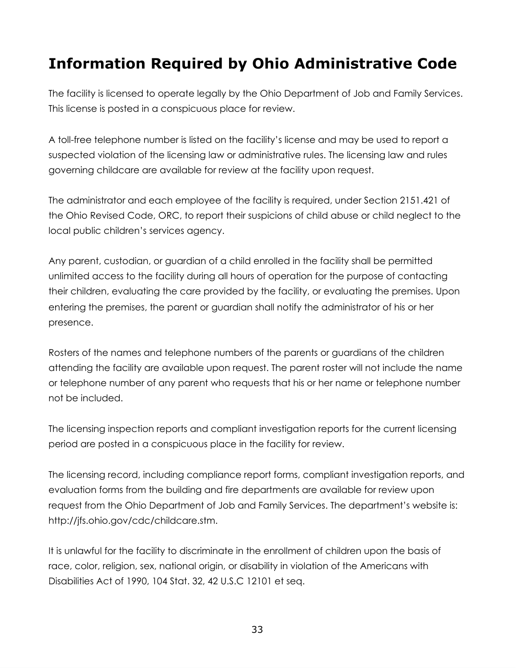## **Information Required by Ohio Administrative Code**

The facility is licensed to operate legally by the Ohio Department of Job and Family Services. This license is posted in a conspicuous place for review.

A toll-free telephone number is listed on the facility's license and may be used to report a suspected violation of the licensing law or administrative rules. The licensing law and rules governing childcare are available for review at the facility upon request.

The administrator and each employee of the facility is required, under Section 2151.421 of the Ohio Revised Code, ORC, to report their suspicions of child abuse or child neglect to the local public children's services agency.

Any parent, custodian, or guardian of a child enrolled in the facility shall be permitted unlimited access to the facility during all hours of operation for the purpose of contacting their children, evaluating the care provided by the facility, or evaluating the premises. Upon entering the premises, the parent or guardian shall notify the administrator of his or her presence.

Rosters of the names and telephone numbers of the parents or guardians of the children attending the facility are available upon request. The parent roster will not include the name or telephone number of any parent who requests that his or her name or telephone number not be included.

The licensing inspection reports and compliant investigation reports for the current licensing period are posted in a conspicuous place in the facility for review.

The licensing record, including compliance report forms, compliant investigation reports, and evaluation forms from the building and fire departments are available for review upon request from the Ohio Department of Job and Family Services. The department's website is: http://jfs.ohio.gov/cdc/childcare.stm.

It is unlawful for the facility to discriminate in the enrollment of children upon the basis of race, color, religion, sex, national origin, or disability in violation of the Americans with Disabilities Act of 1990, 104 Stat. 32, 42 U.S.C 12101 et seq.